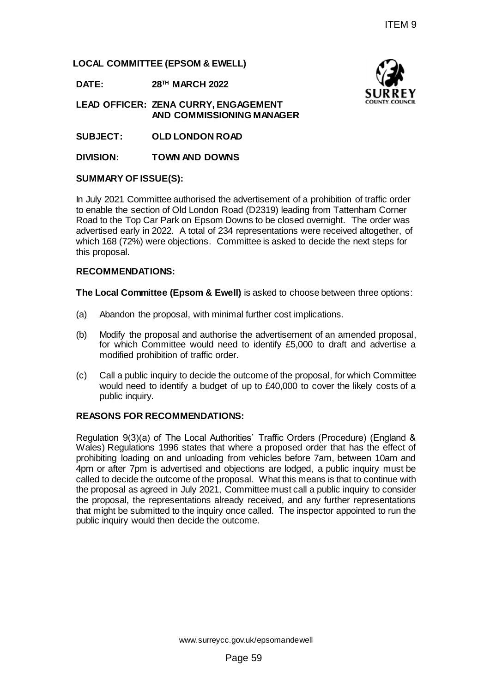**LOCAL COMMITTEE (EPSOM & EWELL)**

**DATE: 28TH MARCH 2022**

**LEAD OFFICER: ZENA CURRY, ENGAGEMENT AND COMMISSIONING MANAGER**

**SUBJECT: OLD LONDON ROAD**

**DIVISION: TOWN AND DOWNS**

### **SUMMARY OF ISSUE(S):**

In July 2021 Committee authorised the advertisement of a prohibition of traffic order to enable the section of Old London Road (D2319) leading from Tattenham Corner Road to the Top Car Park on Epsom Downs to be closed overnight. The order was advertised early in 2022. A total of 234 representations were received altogether, of which 168 (72%) were objections. Committee is asked to decide the next steps for this proposal.

### **RECOMMENDATIONS:**

**The Local Committee (Epsom & Ewell)** is asked to choose between three options:

- (a) Abandon the proposal, with minimal further cost implications.
- (b) Modify the proposal and authorise the advertisement of an amended proposal, for which Committee would need to identify £5,000 to draft and advertise a modified prohibition of traffic order.
- (c) Call a public inquiry to decide the outcome of the proposal, for which Committee would need to identify a budget of up to £40,000 to cover the likely costs of a public inquiry.

#### **REASONS FOR RECOMMENDATIONS:**

Regulation 9(3)(a) of The Local Authorities' Traffic Orders (Procedure) (England & Wales) Regulations 1996 states that where a proposed order that has the effect of prohibiting loading on and unloading from vehicles before 7am, between 10am and 4pm or after 7pm is advertised and objections are lodged, a public inquiry must be called to decide the outcome of the proposal. What this means is that to continue with the proposal as agreed in July 2021, Committee must call a public inquiry to consider the proposal, the representations already received, and any further representations that might be submitted to the inquiry once called. The inspector appointed to run the public inquiry would then decide the outcome. ITEM 9<br>
2<br>
VGAGEMENT<br>
2<br>
VGAGEMENT SOURREY<br>
SURREY<br>
NING MANAGER<br>
advortisement of a prohibition of traffic order<br>
closed (D2319) leading from Tattenham Corner<br>
Downs to be closed overnight. The order was<br>
34 representatio

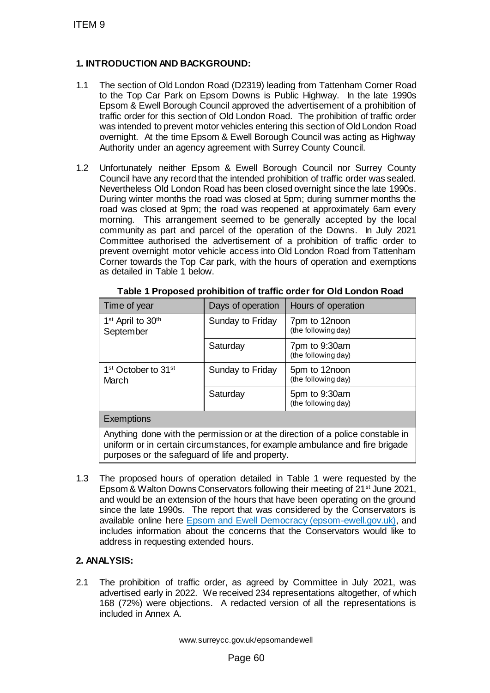## **1. INTRODUCTION AND BACKGROUND:**

- 1.1 The section of Old London Road (D2319) leading from Tattenham Corner Road to the Top Car Park on Epsom Downs is Public Highway. In the late 1990s Epsom & Ewell Borough Council approved the advertisement of a prohibition of traffic order for this section of Old London Road. The prohibition of traffic order was intended to prevent motor vehicles entering this section of Old London Road overnight. At the time Epsom & Ewell Borough Council was acting as Highway Authority under an agency agreement with Surrey County Council.
- 1.2 Unfortunately neither Epsom & Ewell Borough Council nor Surrey County Council have any record that the intended prohibition of traffic order was sealed. Nevertheless Old London Road has been closed overnight since the late 1990s. During winter months the road was closed at 5pm; during summer months the road was closed at 9pm; the road was reopened at approximately 6am every morning. This arrangement seemed to be generally accepted by the local community as part and parcel of the operation of the Downs. In July 2021 Committee authorised the advertisement of a prohibition of traffic order to prevent overnight motor vehicle access into Old London Road from Tattenham Corner towards the Top Car park, with the hours of operation and exemptions as detailed in Table 1 below.

| ITEM 9 |                                                                                                                                                                                                                                                                                                                                                                                                                                                                                                                                                                                                                                                                                                                                                                                                                                                                                                              |                                   |                                      |
|--------|--------------------------------------------------------------------------------------------------------------------------------------------------------------------------------------------------------------------------------------------------------------------------------------------------------------------------------------------------------------------------------------------------------------------------------------------------------------------------------------------------------------------------------------------------------------------------------------------------------------------------------------------------------------------------------------------------------------------------------------------------------------------------------------------------------------------------------------------------------------------------------------------------------------|-----------------------------------|--------------------------------------|
|        | 1. INTRODUCTION AND BACKGROUND:                                                                                                                                                                                                                                                                                                                                                                                                                                                                                                                                                                                                                                                                                                                                                                                                                                                                              |                                   |                                      |
| 1.1    | The section of Old London Road (D2319) leading from Tattenham Corner Road<br>to the Top Car Park on Epsom Downs is Public Highway. In the late 1990s<br>Epsom & Ewell Borough Council approved the advertisement of a prohibition of<br>traffic order for this section of Old London Road. The prohibition of traffic order<br>was intended to prevent motor vehicles entering this section of Old London Road<br>overnight. At the time Epsom & Ewell Borough Council was acting as Highway<br>Authority under an agency agreement with Surrey County Council.                                                                                                                                                                                                                                                                                                                                              |                                   |                                      |
| 1.2    | Unfortunately neither Epsom & Ewell Borough Council nor Surrey County<br>Council have any record that the intended prohibition of traffic order was sealed.<br>Nevertheless Old London Road has been closed overnight since the late 1990s.<br>During winter months the road was closed at 5pm; during summer months the<br>road was closed at 9pm; the road was reopened at approximately 6am every<br>morning. This arrangement seemed to be generally accepted by the local<br>community as part and parcel of the operation of the Downs. In July 2021<br>Committee authorised the advertisement of a prohibition of traffic order to<br>prevent overnight motor vehicle access into Old London Road from Tattenham<br>Corner towards the Top Car park, with the hours of operation and exemptions<br>as detailed in Table 1 below.<br>Table 1 Proposed prohibition of traffic order for Old London Road |                                   |                                      |
|        | Time of year                                                                                                                                                                                                                                                                                                                                                                                                                                                                                                                                                                                                                                                                                                                                                                                                                                                                                                 | Days of operation                 | Hours of operation                   |
|        | 1 <sup>st</sup> April to 30 <sup>th</sup><br>September                                                                                                                                                                                                                                                                                                                                                                                                                                                                                                                                                                                                                                                                                                                                                                                                                                                       | Sunday to Friday                  | 7pm to 12noon<br>(the following day) |
|        |                                                                                                                                                                                                                                                                                                                                                                                                                                                                                                                                                                                                                                                                                                                                                                                                                                                                                                              | Saturday                          | 7pm to 9:30am<br>(the following day) |
|        | 1 <sup>st</sup> October to 31 <sup>st</sup><br>March                                                                                                                                                                                                                                                                                                                                                                                                                                                                                                                                                                                                                                                                                                                                                                                                                                                         | Sunday to Friday                  | 5pm to 12noon<br>(the following day) |
|        |                                                                                                                                                                                                                                                                                                                                                                                                                                                                                                                                                                                                                                                                                                                                                                                                                                                                                                              | Saturday                          | 5pm to 9:30am<br>(the following day) |
|        | <b>Exemptions</b>                                                                                                                                                                                                                                                                                                                                                                                                                                                                                                                                                                                                                                                                                                                                                                                                                                                                                            |                                   |                                      |
|        | Anything done with the permission or at the direction of a police constable in<br>uniform or in certain circumstances, for example ambulance and fire brigade<br>purposes or the safeguard of life and property.                                                                                                                                                                                                                                                                                                                                                                                                                                                                                                                                                                                                                                                                                             |                                   |                                      |
| 1.3    | The proposed hours of operation detailed in Table 1 were requested by the<br>Epsom & Walton Downs Conservators following their meeting of 21 <sup>st</sup> June 2021,<br>and would be an extension of the hours that have been operating on the ground<br>since the late 1990s. The report that was considered by the Conservators is<br>available online here Epsom and Ewell Democracy (epsom-ewell.gov.uk), and<br>includes information about the concerns that the Conservators would like to<br>address in requesting extended hours.                                                                                                                                                                                                                                                                                                                                                                   |                                   |                                      |
|        | 2. ANALYSIS:                                                                                                                                                                                                                                                                                                                                                                                                                                                                                                                                                                                                                                                                                                                                                                                                                                                                                                 |                                   |                                      |
| 2.1    | The prohibition of traffic order, as agreed by Committee in July 2021, was<br>advertised early in 2022. We received 234 representations altogether, of which<br>168 (72%) were objections. A redacted version of all the representations is<br>included in Annex A.                                                                                                                                                                                                                                                                                                                                                                                                                                                                                                                                                                                                                                          |                                   |                                      |
|        |                                                                                                                                                                                                                                                                                                                                                                                                                                                                                                                                                                                                                                                                                                                                                                                                                                                                                                              | www.surreycc.gov.uk/epsomandewell |                                      |
|        |                                                                                                                                                                                                                                                                                                                                                                                                                                                                                                                                                                                                                                                                                                                                                                                                                                                                                                              | Page 60                           |                                      |

## **2. ANALYSIS:**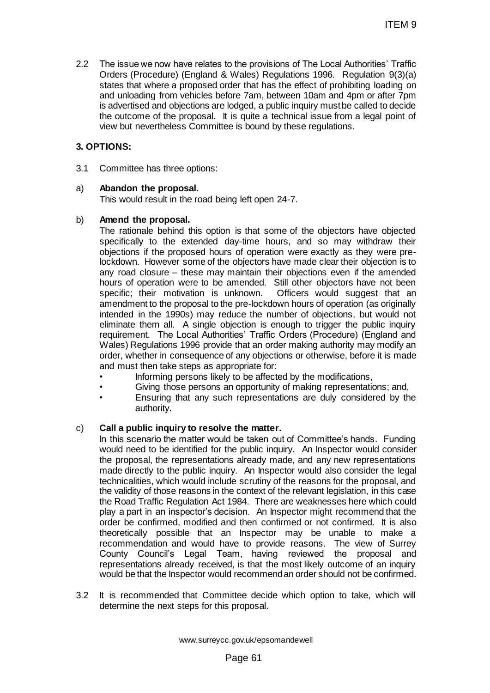2.2 The issue we now have relates to the provisions of The Local Authorities' Traffic Orders (Procedure) (England & Wales) Regulations 1996. Regulation 9(3)(a) states that where a proposed order that has the effect of prohibiting loading on and unloading from vehicles before 7am, between 10am and 4pm or after 7pm is advertised and objections are lodged, a public inquiry must be called to decide the outcome of the proposal. It is quite a technical issue from a legal point of view but nevertheless Committee is bound by these regulations.

### **3. OPTIONS:**

3.1 Committee has three options:

#### a) **Abandon the proposal.**

This would result in the road being left open 24-7.

#### b) **Amend the proposal.**

The rationale behind this option is that some of the objectors have objected specifically to the extended day-time hours, and so may withdraw their objections if the proposed hours of operation were exactly as they were prelockdown. However some of the objectors have made clear their objection is to any road closure – these may maintain their objections even if the amended hours of operation were to be amended. Still other objectors have not been specific; their motivation is unknown. Officers would suggest that an amendment to the proposal to the pre-lockdown hours of operation (as originally intended in the 1990s) may reduce the number of objections, but would not eliminate them all. A single objection is enough to trigger the public inquiry requirement. The Local Authorities' Traffic Orders (Procedure) (England and Wales) Regulations 1996 provide that an order making authority may modify an order, whether in consequence of any objections or otherwise, before it is made and must then take steps as appropriate for: ITEM 9<br>
to the provisions of The Local Authorities' Traffic<br>
whales) Regulations 1996. Regulation 9(3)(a)<br>
order that has the effect of prohibiting loading on<br>
fore 7am, between 10am and 4pm or after 7pm<br>
in degrad to deci

- Informing persons likely to be affected by the modifications,
- Giving those persons an opportunity of making representations; and,
- Ensuring that any such representations are duly considered by the authority.

#### c) **Call a public inquiry to resolve the matter.**

In this scenario the matter would be taken out of Committee's hands. Funding would need to be identified for the public inquiry. An Inspector would consider the proposal, the representations already made, and any new representations made directly to the public inquiry. An Inspector would also consider the legal technicalities, which would include scrutiny of the reasons for the proposal, and the validity of those reasons in the context of the relevant legislation, in this case the Road Traffic Regulation Act 1984. There are weaknesses here which could play a part in an inspector's decision. An Inspector might recommend that the order be confirmed, modified and then confirmed or not confirmed. It is also theoretically possible that an Inspector may be unable to make a recommendation and would have to provide reasons. The view of Surrey County Council's Legal Team, having reviewed the proposal and representations already received, is that the most likely outcome of an inquiry would be that the Inspector would recommend an order should not be confirmed.

3.2 It is recommended that Committee decide which option to take, which will determine the next steps for this proposal.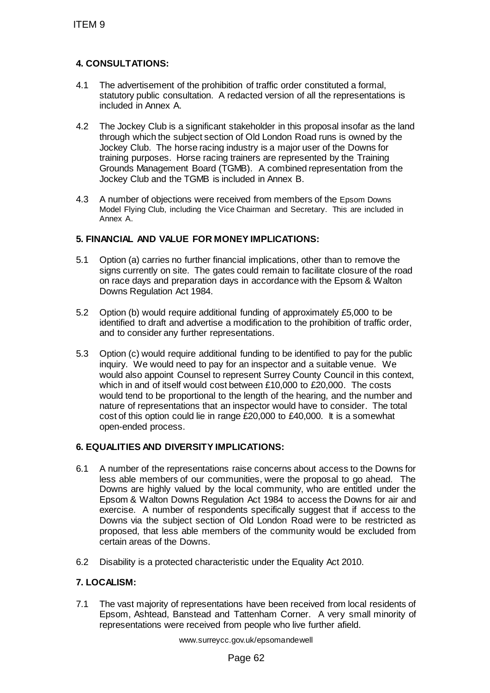# **4. CONSULTATIONS:**

- 4.1 The advertisement of the prohibition of traffic order constituted a formal, statutory public consultation. A redacted version of all the representations is included in Annex A.
- 4.2 The Jockey Club is a significant stakeholder in this proposal insofar as the land through which the subject section of Old London Road runs is owned by the Jockey Club. The horse racing industry is a major user of the Downs for training purposes. Horse racing trainers are represented by the Training Grounds Management Board (TGMB). A combined representation from the Jockey Club and the TGMB is included in Annex B.
- 4.3 A number of objections were received from members of the Epsom Downs Model Flying Club, including the Vice Chairman and Secretary. This are included in Annex A.

## **5. FINANCIAL AND VALUE FOR MONEY IMPLICATIONS:**

- 5.1 Option (a) carries no further financial implications, other than to remove the signs currently on site. The gates could remain to facilitate closure of the road on race days and preparation days in accordance with the Epsom & Walton Downs Regulation Act 1984.
- 5.2 Option (b) would require additional funding of approximately £5,000 to be identified to draft and advertise a modification to the prohibition of traffic order, and to consider any further representations.
- 5.3 Option (c) would require additional funding to be identified to pay for the public inquiry. We would need to pay for an inspector and a suitable venue. We would also appoint Counsel to represent Surrey County Council in this context, which in and of itself would cost between £10,000 to £20,000. The costs would tend to be proportional to the length of the hearing, and the number and nature of representations that an inspector would have to consider. The total cost of this option could lie in range £20,000 to £40,000. It is a somewhat open-ended process. ITEM 9<br>
4. CONSULTATIONS:<br>
4.1 The adventisement of the prohibition of translattion public consultation. A redacted<br>
included in Annex A.<br>
4.2 The Jockey Club is a significant stakehold<br>
through which the subject section o

## **6. EQUALITIES AND DIVERSITY IMPLICATIONS:**

- 6.1 A number of the representations raise concerns about access to the Downs for less able members of our communities, were the proposal to go ahead. The Downs are highly valued by the local community, who are entitled under the Epsom & Walton Downs Regulation Act 1984 to access the Downs for air and exercise. A number of respondents specifically suggest that if access to the Downs via the subject section of Old London Road were to be restricted as proposed, that less able members of the community would be excluded from certain areas of the Downs.
- 6.2 Disability is a protected characteristic under the Equality Act 2010.

## **7. LOCALISM:**

7.1 The vast majority of representations have been received from local residents of Epsom, Ashtead, Banstead and Tattenham Corner. A very small minority of representations were received from people who live further afield.

www.surreycc.gov.uk/epsomandewell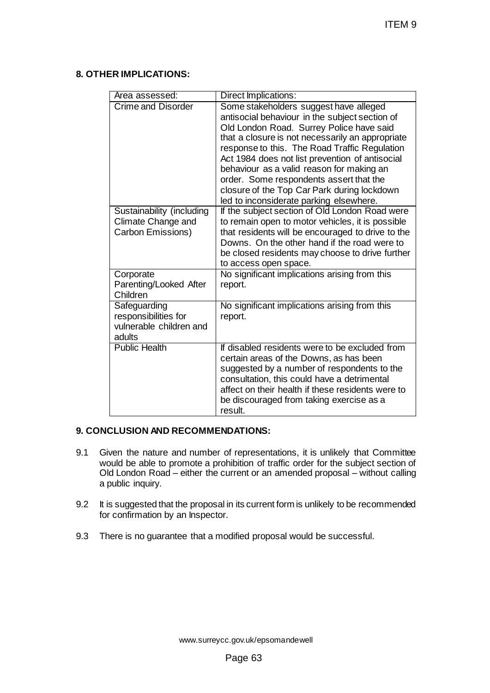### **8. OTHER IMPLICATIONS:**

|                                                 | ITEM 9                                                                                                                                                                                                                                          |
|-------------------------------------------------|-------------------------------------------------------------------------------------------------------------------------------------------------------------------------------------------------------------------------------------------------|
|                                                 |                                                                                                                                                                                                                                                 |
| <b>ER IMPLICATIONS:</b>                         |                                                                                                                                                                                                                                                 |
| Area assessed:<br><b>Crime and Disorder</b>     | Direct Implications:<br>Some stakeholders suggest have alleged                                                                                                                                                                                  |
|                                                 | antisocial behaviour in the subject section of<br>Old London Road. Surrey Police have said                                                                                                                                                      |
|                                                 | that a closure is not necessarily an appropriate<br>response to this. The Road Traffic Regulation<br>Act 1984 does not list prevention of antisocial                                                                                            |
|                                                 | behaviour as a valid reason for making an<br>order. Some respondents assert that the                                                                                                                                                            |
|                                                 | closure of the Top Car Park during lockdown<br>led to inconsiderate parking elsewhere.                                                                                                                                                          |
| Sustainability (including<br>Climate Change and | If the subject section of Old London Road were<br>to remain open to motor vehicles, it is possible                                                                                                                                              |
| Carbon Emissions)                               | that residents will be encouraged to drive to the<br>Downs. On the other hand if the road were to                                                                                                                                               |
|                                                 | be closed residents may choose to drive further<br>to access open space.                                                                                                                                                                        |
| Corporate<br>Parenting/Looked After<br>Children | No significant implications arising from this<br>report.                                                                                                                                                                                        |
| Safeguarding<br>responsibilities for            | No significant implications arising from this<br>report.                                                                                                                                                                                        |
| vulnerable children and<br>adults               |                                                                                                                                                                                                                                                 |
| <b>Public Health</b>                            | If disabled residents were to be excluded from<br>certain areas of the Downs, as has been<br>suggested by a number of respondents to the                                                                                                        |
|                                                 | consultation, this could have a detrimental<br>affect on their health if these residents were to<br>be discouraged from taking exercise as a                                                                                                    |
|                                                 | result.                                                                                                                                                                                                                                         |
| <b>CLUSION AND RECOMMENDATIONS:</b>             |                                                                                                                                                                                                                                                 |
| public inquiry.                                 | ven the nature and number of representations, it is unlikely that Committee<br>buld be able to promote a prohibition of traffic order for the subject section of<br>d London Road – either the current or an amended proposal – without calling |
| r confirmation by an Inspector.                 | s suggested that the proposal in its current form is unlikely to be recommended                                                                                                                                                                 |
|                                                 | nere is no guarantee that a modified proposal would be successful.                                                                                                                                                                              |
|                                                 |                                                                                                                                                                                                                                                 |
|                                                 |                                                                                                                                                                                                                                                 |
|                                                 |                                                                                                                                                                                                                                                 |
|                                                 |                                                                                                                                                                                                                                                 |
|                                                 | www.surreycc.gov.uk/epsomandewell<br>Page 63                                                                                                                                                                                                    |
|                                                 |                                                                                                                                                                                                                                                 |

## **9. CONCLUSION AND RECOMMENDATIONS:**

- 9.1 Given the nature and number of representations, it is unlikely that Committee would be able to promote a prohibition of traffic order for the subject section of Old London Road – either the current or an amended proposal – without calling a public inquiry.
- 9.2 It is suggested that the proposal in its current form is unlikely to be recommended for confirmation by an Inspector.
- 9.3 There is no guarantee that a modified proposal would be successful.